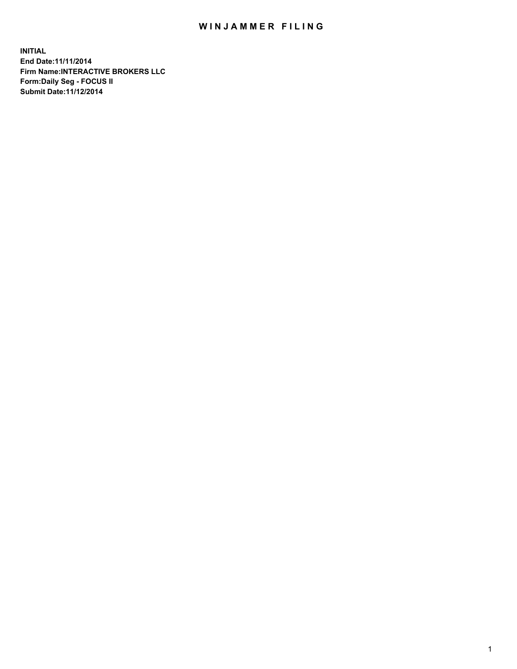## WIN JAMMER FILING

**INITIAL End Date:11/11/2014 Firm Name:INTERACTIVE BROKERS LLC Form:Daily Seg - FOCUS II Submit Date:11/12/2014**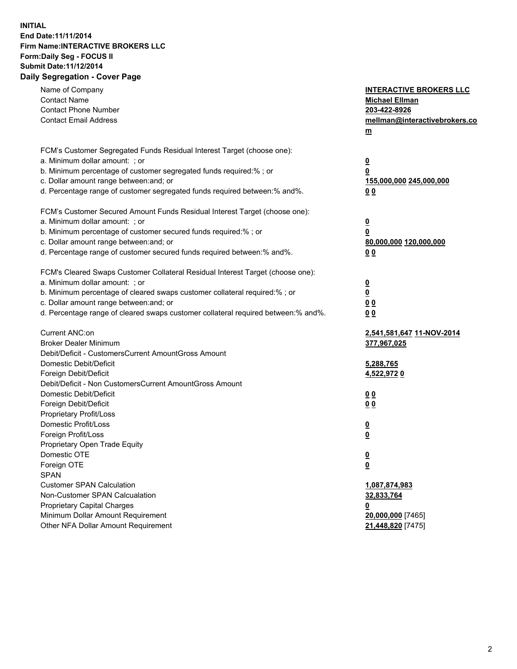## **INITIAL End Date:11/11/2014 Firm Name:INTERACTIVE BROKERS LLC Form:Daily Seg - FOCUS II Submit Date:11/12/2014 Daily Segregation - Cover Page**

| Name of Company<br><b>Contact Name</b><br><b>Contact Phone Number</b><br><b>Contact Email Address</b>                                                                                                                                                                                                                          | <b>INTERACTIVE BROKERS LLC</b><br><b>Michael Ellman</b><br>203-422-8926<br>mellman@interactivebrokers.co<br>m |
|--------------------------------------------------------------------------------------------------------------------------------------------------------------------------------------------------------------------------------------------------------------------------------------------------------------------------------|---------------------------------------------------------------------------------------------------------------|
| FCM's Customer Segregated Funds Residual Interest Target (choose one):<br>a. Minimum dollar amount: ; or<br>b. Minimum percentage of customer segregated funds required:% ; or<br>c. Dollar amount range between: and; or<br>d. Percentage range of customer segregated funds required between:% and%.                         | $\overline{\mathbf{0}}$<br>0<br>155,000,000 245,000,000<br>00                                                 |
| FCM's Customer Secured Amount Funds Residual Interest Target (choose one):<br>a. Minimum dollar amount: ; or<br>b. Minimum percentage of customer secured funds required:% ; or<br>c. Dollar amount range between: and; or<br>d. Percentage range of customer secured funds required between:% and%.                           | $\overline{\mathbf{0}}$<br>0<br>80,000,000 120,000,000<br>0 <sub>0</sub>                                      |
| FCM's Cleared Swaps Customer Collateral Residual Interest Target (choose one):<br>a. Minimum dollar amount: ; or<br>b. Minimum percentage of cleared swaps customer collateral required:% ; or<br>c. Dollar amount range between: and; or<br>d. Percentage range of cleared swaps customer collateral required between:% and%. | $\overline{\mathbf{0}}$<br><u>0</u><br>0 <sub>0</sub><br>0 <sub>0</sub>                                       |
| Current ANC:on<br><b>Broker Dealer Minimum</b><br>Debit/Deficit - CustomersCurrent AmountGross Amount<br>Domestic Debit/Deficit<br>Foreign Debit/Deficit                                                                                                                                                                       | 2,541,581,647 11-NOV-2014<br>377,967,025<br>5,288,765<br>4,522,9720                                           |
| Debit/Deficit - Non CustomersCurrent AmountGross Amount<br>Domestic Debit/Deficit<br>Foreign Debit/Deficit<br>Proprietary Profit/Loss<br>Domestic Profit/Loss<br>Foreign Profit/Loss                                                                                                                                           | 0 <sub>0</sub><br>0 <sub>0</sub><br>$\overline{\mathbf{0}}$<br>$\overline{\mathbf{0}}$                        |
| Proprietary Open Trade Equity<br>Domestic OTE<br>Foreign OTE<br><b>SPAN</b><br><b>Customer SPAN Calculation</b><br>Non-Customer SPAN Calcualation                                                                                                                                                                              | $\overline{\mathbf{0}}$<br><u>0</u><br>1,087,874,983<br>32,833,764                                            |
| <b>Proprietary Capital Charges</b><br>Minimum Dollar Amount Requirement<br>Other NFA Dollar Amount Requirement                                                                                                                                                                                                                 | <u>0</u><br>20,000,000 [7465]<br>21,448,820 [7475]                                                            |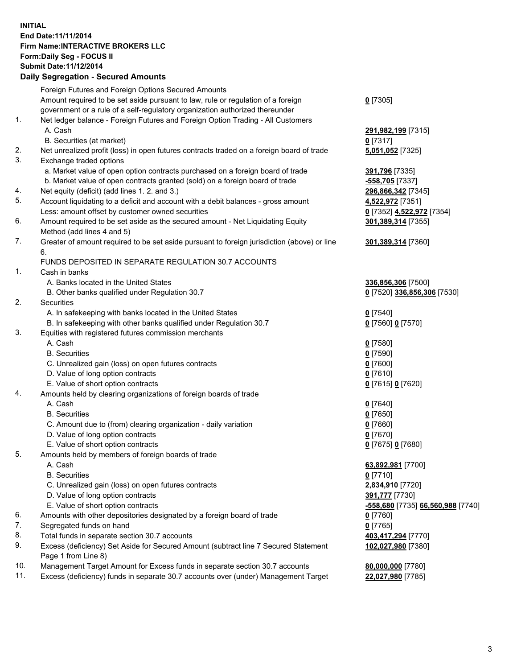## **INITIAL End Date:11/11/2014 Firm Name:INTERACTIVE BROKERS LLC Form:Daily Seg - FOCUS II Submit Date:11/12/2014 Daily Segregation - Secured Amounts**

|                | Daily Jegregation - Jeculed Aniounts                                                                       |                                   |
|----------------|------------------------------------------------------------------------------------------------------------|-----------------------------------|
|                | Foreign Futures and Foreign Options Secured Amounts                                                        |                                   |
|                | Amount required to be set aside pursuant to law, rule or regulation of a foreign                           | $0$ [7305]                        |
|                | government or a rule of a self-regulatory organization authorized thereunder                               |                                   |
| 1.             | Net ledger balance - Foreign Futures and Foreign Option Trading - All Customers                            |                                   |
|                | A. Cash                                                                                                    | 291,982,199 [7315]                |
|                | B. Securities (at market)                                                                                  | $0$ [7317]                        |
| 2.             | Net unrealized profit (loss) in open futures contracts traded on a foreign board of trade                  | 5,051,052 [7325]                  |
| 3.             | Exchange traded options                                                                                    |                                   |
|                | a. Market value of open option contracts purchased on a foreign board of trade                             | 391,796 [7335]                    |
|                | b. Market value of open contracts granted (sold) on a foreign board of trade                               | -558,705 [7337]                   |
| 4.             | Net equity (deficit) (add lines 1.2. and 3.)                                                               | 296,866,342 [7345]                |
| 5.             | Account liquidating to a deficit and account with a debit balances - gross amount                          | 4,522,972 [7351]                  |
|                | Less: amount offset by customer owned securities                                                           | 0 [7352] 4,522,972 [7354]         |
| 6.             | Amount required to be set aside as the secured amount - Net Liquidating Equity                             | 301,389,314 [7355]                |
|                | Method (add lines 4 and 5)                                                                                 |                                   |
| 7.             | Greater of amount required to be set aside pursuant to foreign jurisdiction (above) or line                | 301,389,314 [7360]                |
|                | 6.                                                                                                         |                                   |
|                | FUNDS DEPOSITED IN SEPARATE REGULATION 30.7 ACCOUNTS                                                       |                                   |
| 1 <sub>1</sub> | Cash in banks                                                                                              |                                   |
|                | A. Banks located in the United States                                                                      | 336,856,306 [7500]                |
|                | B. Other banks qualified under Regulation 30.7                                                             | 0 [7520] 336,856,306 [7530]       |
| 2.             | Securities                                                                                                 |                                   |
|                | A. In safekeeping with banks located in the United States                                                  | $0$ [7540]                        |
|                | B. In safekeeping with other banks qualified under Regulation 30.7                                         | 0 [7560] 0 [7570]                 |
| 3.             | Equities with registered futures commission merchants                                                      |                                   |
|                | A. Cash                                                                                                    | $0$ [7580]                        |
|                | <b>B.</b> Securities                                                                                       | $0$ [7590]                        |
|                | C. Unrealized gain (loss) on open futures contracts                                                        | $0$ [7600]                        |
|                | D. Value of long option contracts                                                                          | $0$ [7610]                        |
|                | E. Value of short option contracts                                                                         | 0 [7615] 0 [7620]                 |
| 4.             | Amounts held by clearing organizations of foreign boards of trade                                          |                                   |
|                | A. Cash                                                                                                    | $0$ [7640]                        |
|                | <b>B.</b> Securities                                                                                       | $0$ [7650]                        |
|                | C. Amount due to (from) clearing organization - daily variation                                            | $0$ [7660]                        |
|                | D. Value of long option contracts                                                                          | $0$ [7670]                        |
|                | E. Value of short option contracts                                                                         | 0 [7675] 0 [7680]                 |
| 5.             | Amounts held by members of foreign boards of trade                                                         |                                   |
|                | A. Cash                                                                                                    | 63,892,981 [7700]                 |
|                | <b>B.</b> Securities                                                                                       | $0$ [7710]                        |
|                | C. Unrealized gain (loss) on open futures contracts                                                        | 2,834,910 [7720]                  |
|                | D. Value of long option contracts                                                                          | 391,777 [7730]                    |
|                | E. Value of short option contracts                                                                         | -558,680 [7735] 66,560,988 [7740] |
| 6.             | Amounts with other depositories designated by a foreign board of trade                                     | $0$ [7760]                        |
| 7.             | Segregated funds on hand                                                                                   | $0$ [7765]                        |
| 8.             | Total funds in separate section 30.7 accounts                                                              | 403,417,294 [7770]                |
| 9.             | Excess (deficiency) Set Aside for Secured Amount (subtract line 7 Secured Statement<br>Page 1 from Line 8) | 102,027,980 [7380]                |
| 10.            | Management Target Amount for Excess funds in separate section 30.7 accounts                                | 80,000,000 [7780]                 |
| 11.            | Excess (deficiency) funds in separate 30.7 accounts over (under) Management Target                         | 22,027,980 [7785]                 |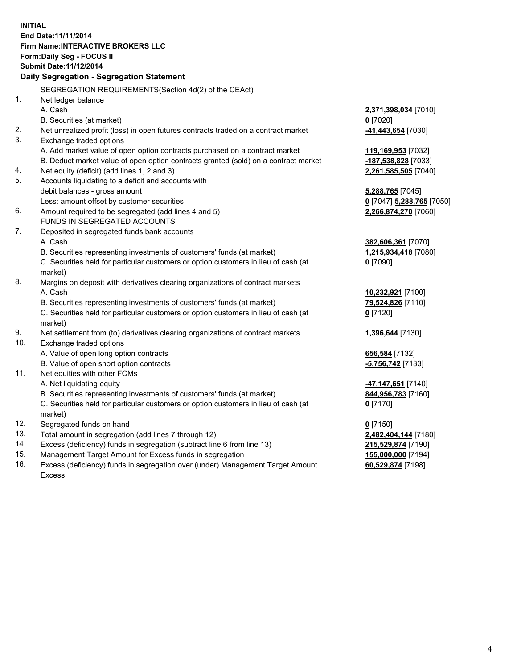**INITIAL End Date:11/11/2014 Firm Name:INTERACTIVE BROKERS LLC Form:Daily Seg - FOCUS II Submit Date:11/12/2014 Daily Segregation - Segregation Statement** SEGREGATION REQUIREMENTS(Section 4d(2) of the CEAct) 1. Net ledger balance A. Cash **2,371,398,034** [7010] B. Securities (at market) **0** [7020] 2. Net unrealized profit (loss) in open futures contracts traded on a contract market **-41,443,654** [7030] 3. Exchange traded options A. Add market value of open option contracts purchased on a contract market **119,169,953** [7032] B. Deduct market value of open option contracts granted (sold) on a contract market **-187,538,828** [7033] 4. Net equity (deficit) (add lines 1, 2 and 3) **2,261,585,505** [7040] 5. Accounts liquidating to a deficit and accounts with debit balances - gross amount **5,288,765** [7045] Less: amount offset by customer securities **0** [7047] **5,288,765** [7050] 6. Amount required to be segregated (add lines 4 and 5) **2,266,874,270** [7060] FUNDS IN SEGREGATED ACCOUNTS 7. Deposited in segregated funds bank accounts A. Cash **382,606,361** [7070] B. Securities representing investments of customers' funds (at market) **1,215,934,418** [7080] C. Securities held for particular customers or option customers in lieu of cash (at market) **0** [7090] 8. Margins on deposit with derivatives clearing organizations of contract markets A. Cash **10,232,921** [7100] B. Securities representing investments of customers' funds (at market) **79,524,826** [7110] C. Securities held for particular customers or option customers in lieu of cash (at market) **0** [7120] 9. Net settlement from (to) derivatives clearing organizations of contract markets **1,396,644** [7130] 10. Exchange traded options A. Value of open long option contracts **656,584** [7132] B. Value of open short option contracts **-5,756,742** [7133] 11. Net equities with other FCMs A. Net liquidating equity **-47,147,651** [7140] B. Securities representing investments of customers' funds (at market) **844,956,783** [7160] C. Securities held for particular customers or option customers in lieu of cash (at market) **0** [7170] 12. Segregated funds on hand **0** [7150] 13. Total amount in segregation (add lines 7 through 12) **2,482,404,144** [7180] 14. Excess (deficiency) funds in segregation (subtract line 6 from line 13) **215,529,874** [7190] 15. Management Target Amount for Excess funds in segregation **155,000,000** [7194]

16. Excess (deficiency) funds in segregation over (under) Management Target Amount Excess

**60,529,874** [7198]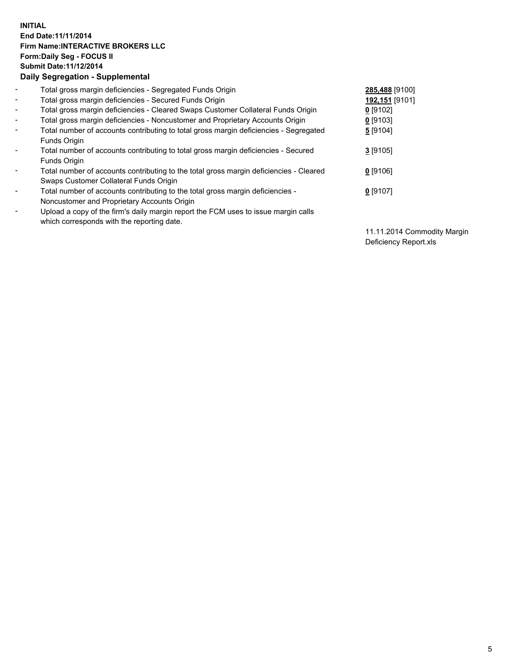## **INITIAL End Date:11/11/2014 Firm Name:INTERACTIVE BROKERS LLC Form:Daily Seg - FOCUS II Submit Date:11/12/2014 Daily Segregation - Supplemental**

| $\blacksquare$ | Total gross margin deficiencies - Segregated Funds Origin                              | 285,488 [9100] |
|----------------|----------------------------------------------------------------------------------------|----------------|
| $\blacksquare$ | Total gross margin deficiencies - Secured Funds Origin                                 | 192,151 [9101] |
| $\blacksquare$ | Total gross margin deficiencies - Cleared Swaps Customer Collateral Funds Origin       | $0$ [9102]     |
| $\blacksquare$ | Total gross margin deficiencies - Noncustomer and Proprietary Accounts Origin          | $0$ [9103]     |
| $\blacksquare$ | Total number of accounts contributing to total gross margin deficiencies - Segregated  | 5 [9104]       |
|                | Funds Origin                                                                           |                |
| $\sim$         | Total number of accounts contributing to total gross margin deficiencies - Secured     | $3$ [9105]     |
|                | <b>Funds Origin</b>                                                                    |                |
| $\blacksquare$ | Total number of accounts contributing to the total gross margin deficiencies - Cleared | $0$ [9106]     |
|                | Swaps Customer Collateral Funds Origin                                                 |                |
| $\blacksquare$ | Total number of accounts contributing to the total gross margin deficiencies -         | $0$ [9107]     |
|                | Noncustomer and Proprietary Accounts Origin                                            |                |
| $\blacksquare$ | Upload a copy of the firm's daily margin report the FCM uses to issue margin calls     |                |
|                | which corresponds with the reporting date.                                             |                |

11.11.2014 Commodity Margin Deficiency Report.xls